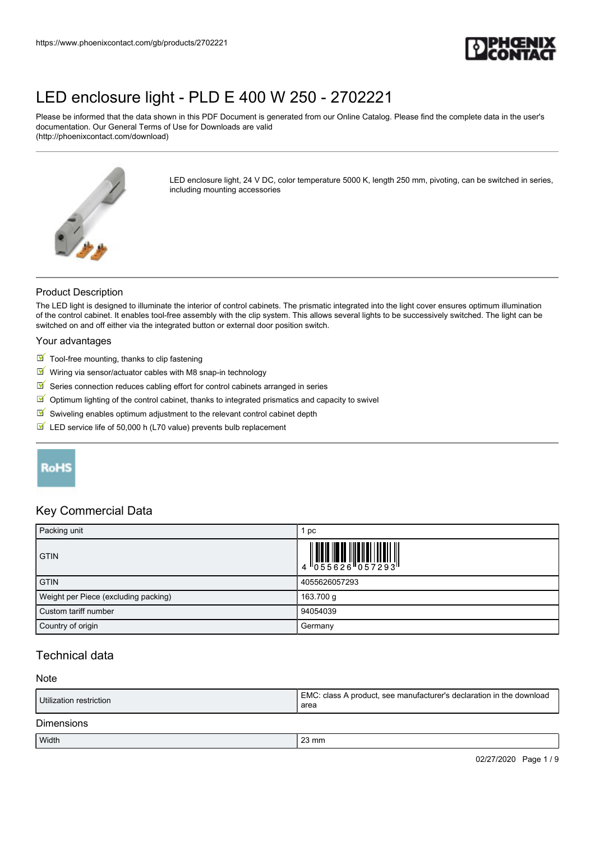

Please be informed that the data shown in this PDF Document is generated from our Online Catalog. Please find the complete data in the user's documentation. Our General Terms of Use for Downloads are valid (http://phoenixcontact.com/download)



LED enclosure light, 24 V DC, color temperature 5000 K, length 250 mm, pivoting, can be switched in series, including mounting accessories

#### Product Description

The LED light is designed to illuminate the interior of control cabinets. The prismatic integrated into the light cover ensures optimum illumination of the control cabinet. It enables tool-free assembly with the clip system. This allows several lights to be successively switched. The light can be switched on and off either via the integrated button or external door position switch.

#### Your advantages

- $\blacksquare$  Tool-free mounting, thanks to clip fastening
- $\blacksquare$  Wiring via sensor/actuator cables with M8 snap-in technology
- $\checkmark$ Series connection reduces cabling effort for control cabinets arranged in series
- $\boxed{\color{blue}\blacksquare}$  Optimum lighting of the control cabinet, thanks to integrated prismatics and capacity to swivel
- $\triangleright$  Swiveling enables optimum adjustment to the relevant control cabinet depth
- $\blacksquare$  LED service life of 50,000 h (L70 value) prevents bulb replacement

# RoHS

### Key Commercial Data

| Packing unit                         | 1 pc          |
|--------------------------------------|---------------|
| <b>GTIN</b>                          |               |
| <b>GTIN</b>                          | 4055626057293 |
| Weight per Piece (excluding packing) | 163.700 g     |
| Custom tariff number                 | 94054039      |
| Country of origin                    | Germany       |

## Technical data

#### Note

| Utilization restriction | EMC: class A product, see manufacturer's declaration in the download<br>area |  |
|-------------------------|------------------------------------------------------------------------------|--|
| <b>Dimensions</b>       |                                                                              |  |
| Width                   | $23 \text{ mm}$                                                              |  |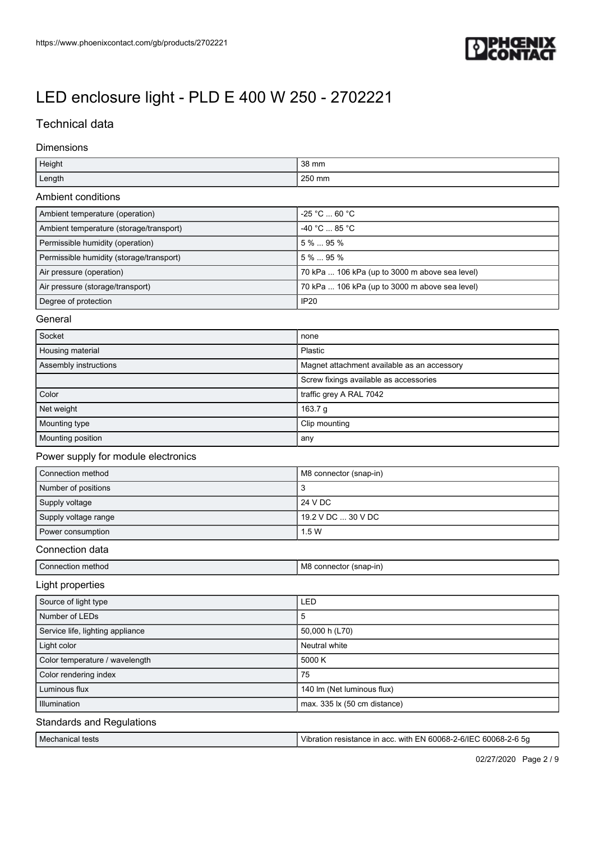

# Technical data

### Dimensions

| Height                                   | 38 mm                                          |
|------------------------------------------|------------------------------------------------|
| Length                                   | 250 mm                                         |
| Ambient conditions                       |                                                |
| Ambient temperature (operation)          | -25 °C  60 °C                                  |
| Ambient temperature (storage/transport)  | -40 °C  85 °C                                  |
| Permissible humidity (operation)         | 5 %  95 %                                      |
| Permissible humidity (storage/transport) | 5 %  95 %                                      |
| Air pressure (operation)                 | 70 kPa  106 kPa (up to 3000 m above sea level) |
| Air pressure (storage/transport)         | 70 kPa  106 kPa (up to 3000 m above sea level) |
| Degree of protection                     | <b>IP20</b>                                    |
| General                                  |                                                |
| Socket                                   | none                                           |
| Housing material                         | Plastic                                        |
| Assembly instructions                    | Magnet attachment available as an accessory    |
|                                          | Screw fixings available as accessories         |
| Color                                    | traffic grey A RAL 7042                        |
| Net weight                               | 163.7 g                                        |
| Mounting type                            | Clip mounting                                  |
| Mounting position                        | any                                            |
| Power supply for module electronics      |                                                |
| Connection method                        | M8 connector (snap-in)                         |
| Number of positions                      | 3                                              |
| Supply voltage                           | 24 V DC                                        |
| Supply voltage range                     | 19.2 V DC  30 V DC                             |
| Power consumption                        | 1.5 W                                          |
| Connection data                          |                                                |
| Connection method                        | M8 connector (snap-in)                         |
| Light properties                         |                                                |
| Source of light type                     | LED                                            |
| Number of LEDs                           | 5                                              |
| Service life, lighting appliance         | 50,000 h (L70)                                 |
| Light color                              | Neutral white                                  |
| Color temperature / wavelength           | 5000 K                                         |
| Color rendering index                    | 75                                             |
| Luminous flux                            | 140 lm (Net luminous flux)                     |
| Illumination                             | max. 335 lx (50 cm distance)                   |
|                                          |                                                |

### Standards and Regulations

| Mechanical tests | -6/IF<br>with<br>3000<br>$\cdot$ FN 60068- $\cdot$<br>acc.<br>Vibr.<br>ьc<br>ance<br>. 600068-7<br>515 lai<br><i>a</i> |
|------------------|------------------------------------------------------------------------------------------------------------------------|
|                  |                                                                                                                        |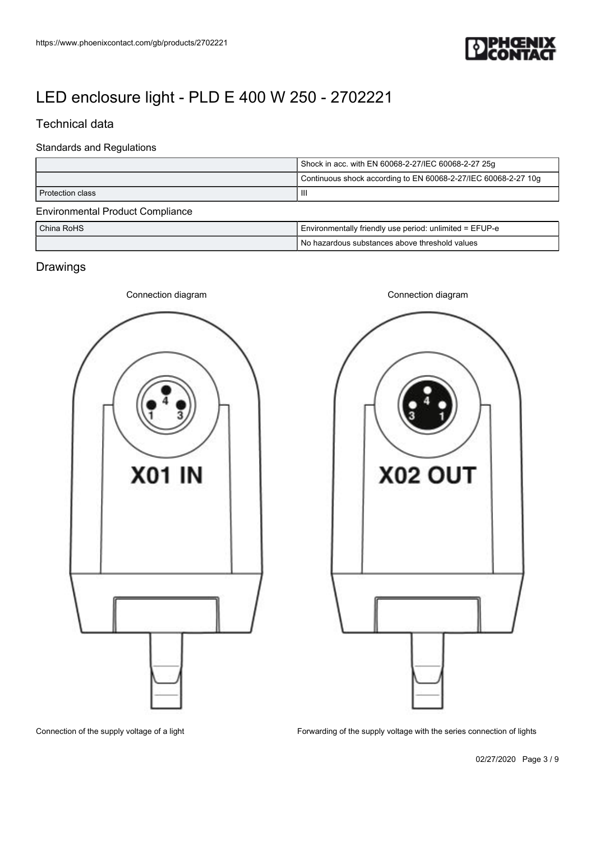

## Technical data

### Standards and Regulations

| Shock in acc. with EN 60068-2-27/IEC 60068-2-27 25g            |                                                         |  |  |
|----------------------------------------------------------------|---------------------------------------------------------|--|--|
| Continuous shock according to EN 60068-2-27/IEC 60068-2-27 10g |                                                         |  |  |
| Ш<br>Protection class                                          |                                                         |  |  |
| <b>Environmental Product Compliance</b>                        |                                                         |  |  |
| China RoHS                                                     | Environmentally friendly use period: unlimited = EFUP-e |  |  |
|                                                                | No hazardous substances above threshold values          |  |  |

# **Drawings**





Connection of the supply voltage of a light

Forwarding of the supply voltage with the series connection of lights

02/27/2020 Page 3 / 9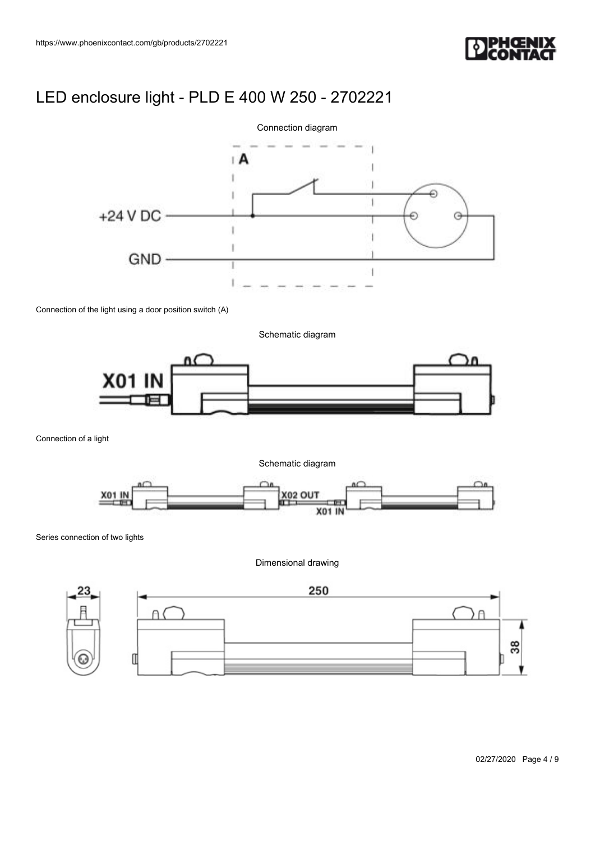



Connection of the light using a door position switch (A)

Schematic diagram



Connection of a light

Schematic diagram



Series connection of two lights

Dimensional drawing

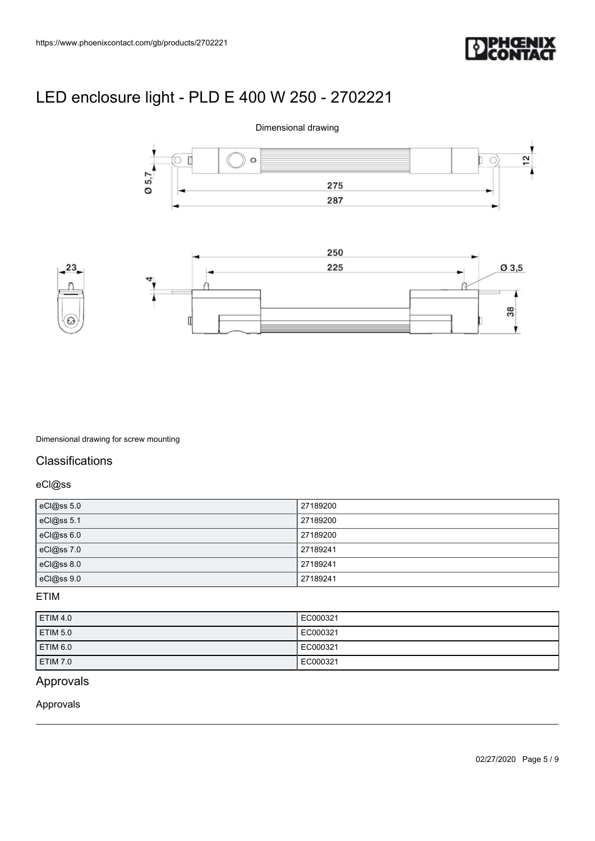





Dimensional drawing for screw mounting

### **Classifications**

eCl@ss

| eCl@ss 5.0 | 27189200 |
|------------|----------|
| eCl@ss 5.1 | 27189200 |
| eCl@ss 6.0 | 27189200 |
| eCl@ss7.0  | 27189241 |
| eCl@ss 8.0 | 27189241 |
| eCl@ss 9.0 | 27189241 |

### ETIM

| <b>ETIM 4.0</b>     | EC000321 |
|---------------------|----------|
| ETIM <sub>5.0</sub> | EC000321 |
| <b>ETIM 6.0</b>     | EC000321 |
| <b>ETIM 7.0</b>     | EC000321 |

## Approvals

Approvals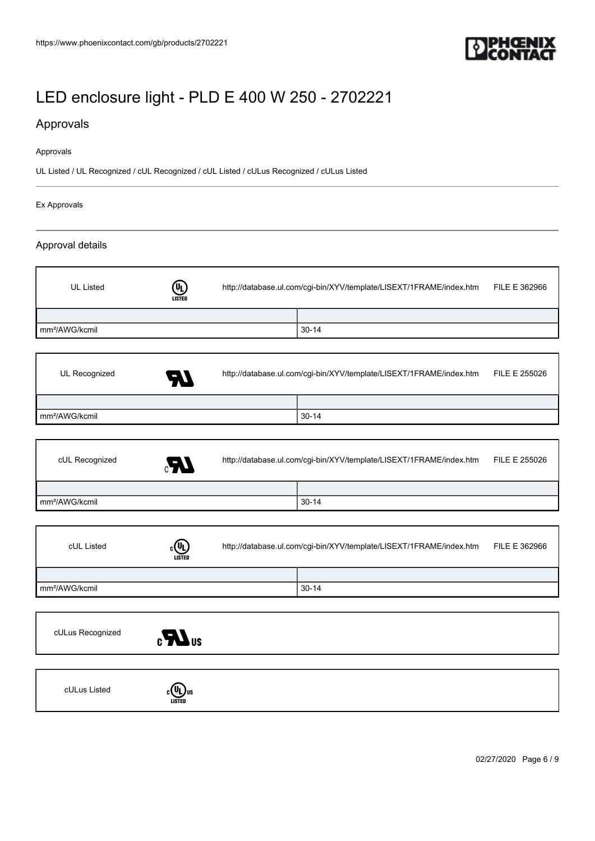

## Approvals

#### Approvals

UL Listed / UL Recognized / cUL Recognized / cUL Listed / cULus Recognized / cULus Listed

#### Ex Approvals

### Approval details

| UL Listed                  | $\textcircled{\scriptsize{1}}$<br><b>LISTED</b> | http://database.ul.com/cgi-bin/XYV/template/LISEXT/1FRAME/index.htm |           | FILE E 362966 |
|----------------------------|-------------------------------------------------|---------------------------------------------------------------------|-----------|---------------|
|                            |                                                 |                                                                     |           |               |
| mm <sup>2</sup> /AWG/kcmil |                                                 |                                                                     | $30 - 14$ |               |
|                            |                                                 |                                                                     |           |               |
| UL Recognized              | $\boldsymbol{\mathcal{H}}$                      | http://database.ul.com/cgi-bin/XYV/template/LISEXT/1FRAME/index.htm |           | FILE E 255026 |

| - -                        |         |  |
|----------------------------|---------|--|
|                            |         |  |
| mm <sup>2</sup> /AWG/kcmil | $30-14$ |  |
|                            |         |  |

| cUL Recognized<br>Æ,       | http://database.ul.com/cgi-bin/XYV/template/LISEXT/1FRAME/index.htm |           | FILE E 255026 |
|----------------------------|---------------------------------------------------------------------|-----------|---------------|
|                            |                                                                     |           |               |
| mm <sup>2</sup> /AWG/kcmil |                                                                     | $30 - 14$ |               |

| cUL Listed                 | .®<br><b>LISTED</b> | http://database.ul.com/cgi-bin/XYV/template/LISEXT/1FRAME/index.htm |         | FILE E 362966 |
|----------------------------|---------------------|---------------------------------------------------------------------|---------|---------------|
|                            |                     |                                                                     |         |               |
| mm <sup>2</sup> /AWG/kcmil |                     |                                                                     | $30-14$ |               |



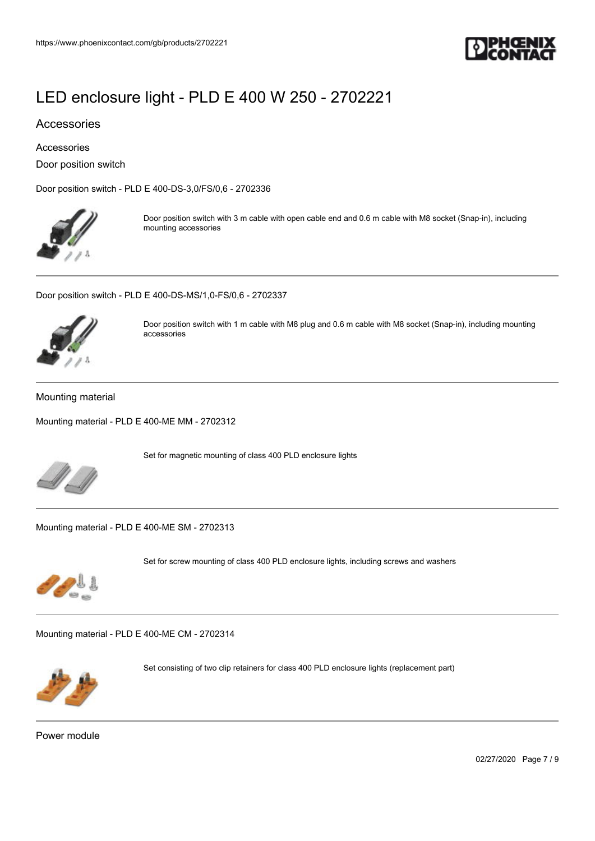

### Accessories

Accessories

Door position switch

[Door position switch - PLD E 400-DS-3,0/FS/0,6 - 2702336](https://www.phoenixcontact.com/gb/products/2702336)



Door position switch with 3 m cable with open cable end and 0.6 m cable with M8 socket (Snap-in), including mounting accessories

[Door position switch - PLD E 400-DS-MS/1,0-FS/0,6 - 2702337](https://www.phoenixcontact.com/gb/products/2702337)



Door position switch with 1 m cable with M8 plug and 0.6 m cable with M8 socket (Snap-in), including mounting accessories

#### Mounting material

[Mounting material - PLD E 400-ME MM - 2702312](https://www.phoenixcontact.com/gb/products/2702312)



Set for magnetic mounting of class 400 PLD enclosure lights

[Mounting material - PLD E 400-ME SM - 2702313](https://www.phoenixcontact.com/gb/products/2702313)



Set for screw mounting of class 400 PLD enclosure lights, including screws and washers

[Mounting material - PLD E 400-ME CM - 2702314](https://www.phoenixcontact.com/gb/products/2702314)



Set consisting of two clip retainers for class 400 PLD enclosure lights (replacement part)

Power module

02/27/2020 Page 7 / 9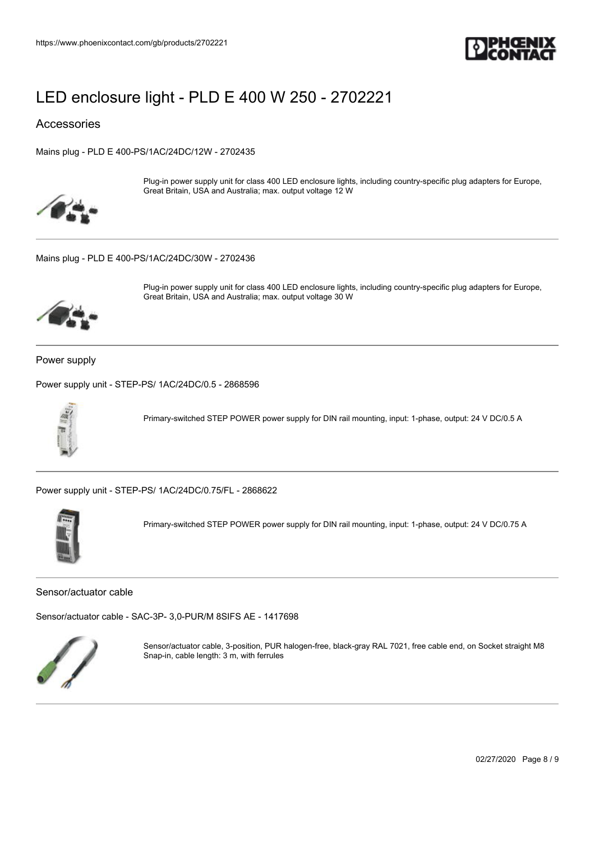

Accessories

[Mains plug - PLD E 400-PS/1AC/24DC/12W - 2702435](https://www.phoenixcontact.com/gb/products/2702435)



Plug-in power supply unit for class 400 LED enclosure lights, including country-specific plug adapters for Europe, Great Britain, USA and Australia; max. output voltage 12 W

[Mains plug - PLD E 400-PS/1AC/24DC/30W - 2702436](https://www.phoenixcontact.com/gb/products/2702436)



Plug-in power supply unit for class 400 LED enclosure lights, including country-specific plug adapters for Europe, Great Britain, USA and Australia; max. output voltage 30 W

Power supply

[Power supply unit - STEP-PS/ 1AC/24DC/0.5 - 2868596](https://www.phoenixcontact.com/gb/products/2868596)



Primary-switched STEP POWER power supply for DIN rail mounting, input: 1-phase, output: 24 V DC/0.5 A

[Power supply unit - STEP-PS/ 1AC/24DC/0.75/FL - 2868622](https://www.phoenixcontact.com/gb/products/2868622)

![](_page_7_Picture_15.jpeg)

Primary-switched STEP POWER power supply for DIN rail mounting, input: 1-phase, output: 24 V DC/0.75 A

Sensor/actuator cable

[Sensor/actuator cable - SAC-3P- 3,0-PUR/M 8SIFS AE - 1417698](https://www.phoenixcontact.com/gb/products/1417698)

![](_page_7_Picture_19.jpeg)

Sensor/actuator cable, 3-position, PUR halogen-free, black-gray RAL 7021, free cable end, on Socket straight M8 Snap-in, cable length: 3 m, with ferrules